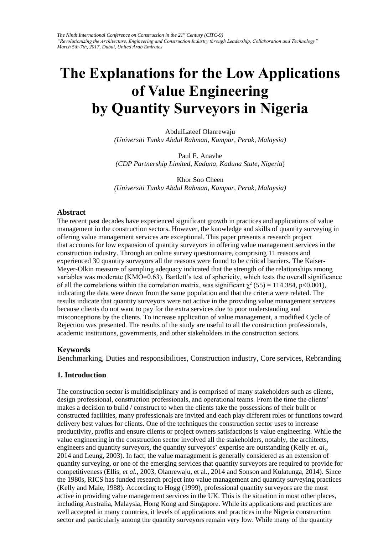*The Ninth International Conference on Construction in the 21st Century (CITC-9) "Revolutionizing the Architecture, Engineering and Construction Industry through Leadership, Collaboration and Technology" March 5th-7th, 2017, Dubai, United Arab Emirates* 

# **The Explanations for the Low Applications of Value Engineering by Quantity Surveyors in Nigeria**

AbdulLateef Olanrewaju *(Universiti Tunku Abdul Rahman, Kampar, Perak, Malaysia)* 

Paul E. Anavhe *(CDP Partnership Limited, Kaduna, Kaduna State, Nigeria*)

Khor Soo Cheen *(Universiti Tunku Abdul Rahman, Kampar, Perak, Malaysia)* 

#### **Abstract**

The recent past decades have experienced significant growth in practices and applications of value management in the construction sectors. However, the knowledge and skills of quantity surveying in offering value management services are exceptional. This paper presents a research project that accounts for low expansion of quantity surveyors in offering value management services in the construction industry. Through an online survey questionnaire, comprising 11 reasons and experienced 30 quantity surveyors all the reasons were found to be critical barriers. The Kaiser-Meyer-Olkin measure of sampling adequacy indicated that the strength of the relationships among variables was moderate (KMO=0.63). Bartlett's test of sphericity, which tests the overall significance of all the correlations within the correlation matrix, was significant  $\chi^2$  (55) = 114.384, p<0.001), indicating the data were drawn from the same population and that the criteria were related. The results indicate that quantity surveyors were not active in the providing value management services because clients do not want to pay for the extra services due to poor understanding and misconceptions by the clients. To increase application of value management, a modified Cycle of Rejection was presented. The results of the study are useful to all the construction professionals, academic institutions, governments, and other stakeholders in the construction sectors.

#### **Keywords**

Benchmarking, Duties and responsibilities, Construction industry, Core services, Rebranding

#### **1. Introduction**

The construction sector is multidisciplinary and is comprised of many stakeholders such as clients, design professional, construction professionals, and operational teams. From the time the clients' makes a decision to build / construct to when the clients take the possessions of their built or constructed facilities, many professionals are invited and each play different roles or functions toward delivery best values for clients. One of the techniques the construction sector uses to increase productivity, profits and ensure clients or project owners satisfactions is value engineering. While the value engineering in the construction sector involved all the stakeholders, notably, the architects, engineers and quantity surveyors, the quantity surveyors' expertise are outstanding (Kelly *et. al.,* 2014 and Leung, 2003). In fact, the value management is generally considered as an extension of quantity surveying, or one of the emerging services that quantity surveyors are required to provide for competitiveness (Ellis, *et al.,* 2003, Olanrewaju, et al., 2014 and Sonson and Kulatunga, 2014). Since the 1980s, RICS has funded research project into value management and quantity surveying practices (Kelly and Male, 1988). According to Hogg (1999), professional quantity surveyors are the most active in providing value management services in the UK. This is the situation in most other places, including Australia, Malaysia, Hong Kong and Singapore. While its applications and practices are well accepted in many countries, it levels of applications and practices in the Nigeria construction sector and particularly among the quantity surveyors remain very low. While many of the quantity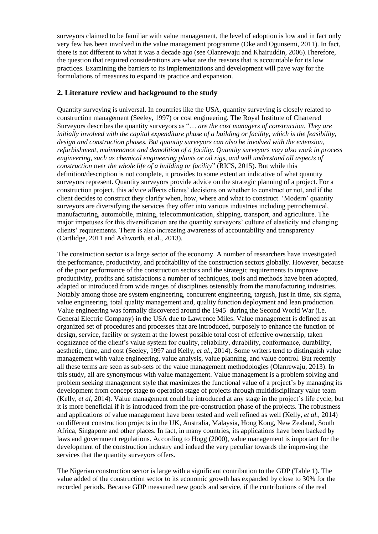surveyors claimed to be familiar with value management, the level of adoption is low and in fact only very few has been involved in the value management programme (Oke and Ogunsemi, 2011). In fact, there is not different to what it was a decade ago (see Olanrewaju and Khairuddin, 2006).Therefore, the question that required considerations are what are the reasons that is accountable for its low practices. Examining the barriers to its implementations and development will pave way for the formulations of measures to expand its practice and expansion.

## **2. Literature review and background to the study**

Quantity surveying is universal. In countries like the USA, quantity surveying is closely related to construction management (Seeley, 1997) or cost engineering. The Royal Institute of Chartered Surveyors describes the quantity surveyors as "… *are the cost managers of construction. They are initially involved with the capital expenditure phase of a building or facility, which is the feasibility, design and construction phases. But quantity surveyors can also be involved with the extension, refurbishment, maintenance and demolition of a facility. Quantity surveyors may also work in process engineering, such as chemical engineering plants or oil rigs, and will understand all aspects of construction over the whole life of a building or facility*" (RICS, 2015). But while this definition/description is not complete, it provides to some extent an indicative of what quantity surveyors represent. Quantity surveyors provide advice on the strategic planning of a project. For a construction project, this advice affects clients' decisions on whether to construct or not, and if the client decides to construct they clarify when, how, where and what to construct. 'Modern' quantity surveyors are diversifying the services they offer into various industries including petrochemical, manufacturing, automobile, mining, telecommunication, shipping, transport, and agriculture. The major impetuses for this diversification are the quantity surveyors' culture of elasticity and changing clients' requirements. There is also increasing awareness of accountability and transparency (Cartlidge, 2011 and Ashworth, et al., 2013).

The construction sector is a large sector of the economy. A number of researchers have investigated the performance, productivity, and profitability of the construction sectors globally. However, because of the poor performance of the construction sectors and the strategic requirements to improve productivity, profits and satisfactions a number of techniques, tools and methods have been adopted, adapted or introduced from wide ranges of disciplines ostensibly from the manufacturing industries. Notably among those are system engineering, concurrent engineering, targush, just in time, six sigma, value engineering, total quality management and, quality function deployment and lean production. Value engineering was formally discovered around the 1945–during the Second World War (i.e. General Electric Company) in the USA due to Lawrence Miles. Value management is defined as an organized set of procedures and processes that are introduced, purposely to enhance the function of design, service, facility or system at the lowest possible total cost of effective ownership, taken cognizance of the client's value system for quality, reliability, durability, conformance, durability, aesthetic, time, and cost (Seeley, 1997 and Kelly, *et al.,* 2014). Some writers tend to distinguish value management with value engineering, value analysis, value planning, and value control. But recently all these terms are seen as sub-sets of the value management methodologies (Olanrewaju, 2013). In this study, all are synonymous with value management. Value management is a problem solving and problem seeking management style that maximizes the functional value of a project's by managing its development from concept stage to operation stage of projects through multidisciplinary value team (Kelly, *et al,* 2014). Value management could be introduced at any stage in the project's life cycle, but it is more beneficial if it is introduced from the pre-construction phase of the projects. The robustness and applications of value management have been tested and well refined as well (Kelly, *et al.,* 2014) on different construction projects in the UK, Australia, Malaysia, Hong Kong, New Zealand, South Africa, Singapore and other places. In fact, in many countries, its applications have been backed by laws and government regulations. According to Hogg (2000), value management is important for the development of the construction industry and indeed the very peculiar towards the improving the services that the quantity surveyors offers.

The Nigerian construction sector is large with a significant contribution to the GDP (Table 1). The value added of the construction sector to its economic growth has expanded by close to 30% for the recorded periods. Because GDP measured new goods and service, if the contributions of the real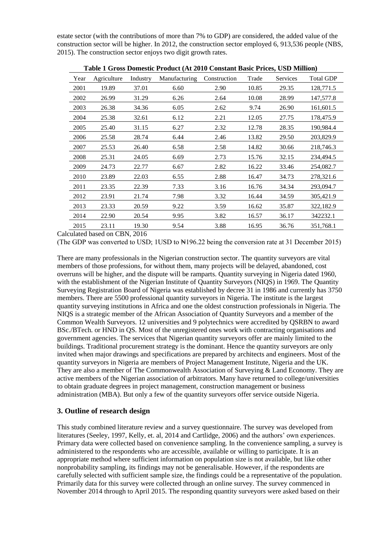estate sector (with the contributions of more than 7% to GDP) are considered, the added value of the construction sector will be higher. In 2012, the construction sector employed 6, 913,536 people (NBS, 2015). The construction sector enjoys two digit growth rates.

|  | Year | Agriculture<br>Industry<br>Manufacturing |       | Construction | Trade | Services | <b>Total GDP</b> |           |  |
|--|------|------------------------------------------|-------|--------------|-------|----------|------------------|-----------|--|
|  | 2001 | 19.89                                    | 37.01 | 6.60         | 2.90  | 10.85    | 29.35            | 128,771.5 |  |
|  | 2002 | 26.99                                    | 31.29 | 6.26         | 2.64  | 10.08    | 28.99            | 147,577.8 |  |
|  | 2003 | 26.38                                    | 34.36 | 6.05         | 2.62  | 9.74     | 26.90            | 161,601.5 |  |
|  | 2004 | 25.38                                    | 32.61 | 6.12         | 2.21  | 12.05    | 27.75            | 178,475.9 |  |
|  | 2005 | 25.40                                    | 31.15 | 6.27         | 2.32  | 12.78    | 28.35            | 190,984.4 |  |
|  | 2006 | 25.58                                    | 28.74 | 6.44         | 2.46  | 13.82    | 29.50            | 203,829.9 |  |
|  | 2007 | 25.53                                    | 26.40 | 6.58         | 2.58  | 14.82    | 30.66            | 218,746.3 |  |
|  | 2008 | 25.31                                    | 24.05 | 6.69         | 2.73  | 15.76    | 32.15            | 234,494.5 |  |
|  | 2009 | 24.73                                    | 22.77 | 6.67         | 2.82  | 16.22    | 33.46            | 254,082.7 |  |
|  | 2010 | 23.89                                    | 22.03 | 6.55         | 2.88  | 16.47    | 34.73            | 278,321.6 |  |
|  | 2011 | 23.35                                    | 22.39 | 7.33         | 3.16  | 16.76    | 34.34            | 293,094.7 |  |
|  | 2012 | 23.91                                    | 21.74 | 7.98         | 3.32  | 16.44    | 34.59            | 305,421.9 |  |
|  | 2013 | 23.33                                    | 20.59 | 9.22         | 3.59  | 16.62    | 35.87            | 322,182.9 |  |
|  | 2014 | 22.90                                    | 20.54 | 9.95         | 3.82  | 16.57    | 36.17            | 342232.1  |  |
|  | 2015 | 23.11                                    | 19.30 | 9.54         | 3.88  | 16.95    | 36.76            | 351,768.1 |  |
|  |      |                                          |       |              |       |          |                  |           |  |

**Table 1 Gross Domestic Product (At 2010 Constant Basic Prices, USD Million)**

Calculated based on CBN, 2016

(The GDP was converted to USD; 1USD to  $\mathbb{N}196.22$  being the conversion rate at 31 December 2015)

There are many professionals in the Nigerian construction sector. The quantity surveyors are vital members of those professions, for without them, many projects will be delayed, abandoned, cost overruns will be higher, and the dispute will be ramparts. Quantity surveying in Nigeria dated 1960, with the establishment of the Nigerian Institute of Quantity Surveyors (NIQS) in 1969. The Quantity Surveying Registration Board of Nigeria was established by decree 31 in 1986 and currently has 3750 members. There are 5500 professional quantity surveyors in Nigeria. The institute is the largest quantity surveying institutions in Africa and one the oldest construction professionals in Nigeria. The NIQS is a strategic member of the African Association of Quantity Surveyors and a member of the Common Wealth Surveyors. 12 universities and 9 polytechnics were accredited by QSRBN to award BSc./BTech. or HND in QS. Most of the unregistered ones work with contracting organisations and government agencies. The services that Nigerian quantity surveyors offer are mainly limited to the buildings. Traditional procurement strategy is the dominant. Hence the quantity surveyors are only invited when major drawings and specifications are prepared by architects and engineers. Most of the quantity surveyors in Nigeria are members of Project Management Institute, Nigeria and the UK. They are also a member of The Commonwealth Association of Surveying & Land Economy. They are active members of the Nigerian association of arbitrators. Many have returned to college/universities to obtain graduate degrees in project management, construction management or business administration (MBA). But only a few of the quantity surveyors offer service outside Nigeria.

## **3. Outline of research design**

This study combined literature review and a survey questionnaire. The survey was developed from literatures (Seeley, 1997, Kelly, et. al, 2014 and Cartlidge, 2006) and the authors' own experiences. Primary data were collected based on convenience sampling. In the convenience sampling, a survey is administered to the respondents who are accessible, available or willing to participate. It is an appropriate method where sufficient information on population size is not available, but like other nonprobability sampling, its findings may not be generalisable. However, if the respondents are carefully selected with sufficient sample size, the findings could be a representative of the population. Primarily data for this survey were collected through an online survey. The survey commenced in November 2014 through to April 2015. The responding quantity surveyors were asked based on their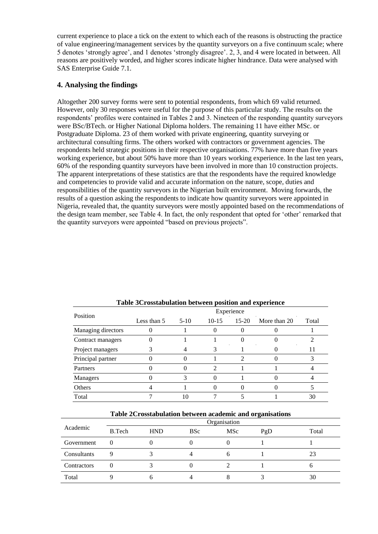current experience to place a tick on the extent to which each of the reasons is obstructing the practice of value engineering/management services by the quantity surveyors on a five continuum scale; where 5 denotes 'strongly agree', and 1 denotes 'strongly disagree'. 2, 3, and 4 were located in between. All reasons are positively worded, and higher scores indicate higher hindrance. Data were analysed with SAS Enterprise Guide 7.1.

## **4. Analysing the findings**

Altogether 200 survey forms were sent to potential respondents, from which 69 valid returned. However, only 30 responses were useful for the purpose of this particular study. The results on the respondents' profiles were contained in Tables 2 and 3. Nineteen of the responding quantity surveyors were BSc/BTech. or Higher National Diploma holders. The remaining 11 have either MSc. or Postgraduate Diploma. 23 of them worked with private engineering, quantity surveying or architectural consulting firms. The others worked with contractors or government agencies. The respondents held strategic positions in their respective organisations. 77% have more than five years working experience, but about 50% have more than 10 years working experience. In the last ten years, 60% of the responding quantity surveyors have been involved in more than 10 construction projects. The apparent interpretations of these statistics are that the respondents have the required knowledge and competencies to provide valid and accurate information on the nature, scope, duties and responsibilities of the quantity surveyors in the Nigerian built environment. Moving forwards, the results of a question asking the respondents to indicate how quantity surveyors were appointed in Nigeria, revealed that, the quantity surveyors were mostly appointed based on the recommendations of the design team member, see Table 4. In fact, the only respondent that opted for 'other' remarked that the quantity surveyors were appointed "based on previous projects".

| Position           | Experience  |        |         |         |              |       |  |  |  |
|--------------------|-------------|--------|---------|---------|--------------|-------|--|--|--|
|                    | Less than 5 | $5-10$ | $10-15$ | $15-20$ | More than 20 | Total |  |  |  |
| Managing directors |             |        |         |         |              |       |  |  |  |
| Contract managers  |             |        |         |         |              |       |  |  |  |
| Project managers   |             |        |         |         |              |       |  |  |  |
| Principal partner  |             |        |         |         |              |       |  |  |  |
| Partners           |             |        |         |         |              |       |  |  |  |
| Managers           |             |        |         |         |              |       |  |  |  |
| Others             |             |        |         |         |              |       |  |  |  |
| Total              |             |        |         |         |              | 30    |  |  |  |

**Table 3Crosstabulation between position and experience** 

|             | -ə----       |            |            |     |     |       |  |  |  |
|-------------|--------------|------------|------------|-----|-----|-------|--|--|--|
|             | Organisation |            |            |     |     |       |  |  |  |
| Academic    | B.Tech       | <b>HND</b> | <b>BSc</b> | MSc | PgD | Total |  |  |  |
| Government  |              |            |            |     |     |       |  |  |  |
| Consultants |              |            |            |     |     | 23    |  |  |  |
| Contractors |              |            |            |     |     |       |  |  |  |
| Total       |              |            |            |     |     | 30    |  |  |  |

**Table 2Crosstabulation between academic and organisations**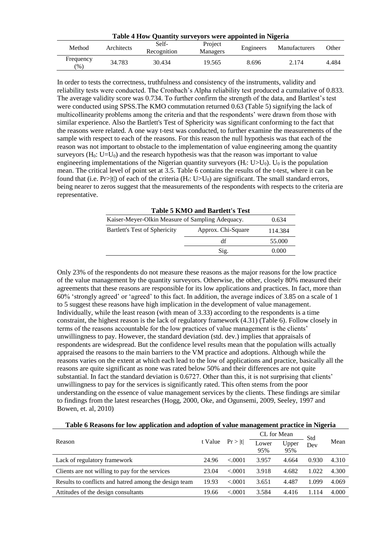| Table 4 How Quantity surveyors were appointed in Nigeria |            |                                             |        |           |                      |       |  |  |  |  |
|----------------------------------------------------------|------------|---------------------------------------------|--------|-----------|----------------------|-------|--|--|--|--|
| Method                                                   | Architects | Self-<br>Project<br>Recognition<br>Managers |        | Engineers | <b>Manufacturers</b> | Other |  |  |  |  |
| Frequency<br>$(\%)$                                      | 34.783     | 30.434                                      | 19.565 | 8.696     | 2.174                | 4.484 |  |  |  |  |

In order to tests the correctness, truthfulness and consistency of the instruments, validity and reliability tests were conducted. The Cronbach's Alpha reliability test produced a cumulative of 0.833. The average validity score was 0.734. To further confirm the strength of the data, and Bartlest's test were conducted using SPSS.The KMO commutation returned 0.63 (Table 5) signifying the lack of multicollinearity problems among the criteria and that the respondents' were drawn from those with similar experience. Also the Bartlett's Test of Sphericity was significant conforming to the fact that the reasons were related. A one way t-test was conducted, to further examine the measurements of the sample with respect to each of the reasons. For this reason the null hypothesis was that each of the reason was not important to obstacle to the implementation of value engineering among the quantity surveyors  $(H_0: U=U_0)$  and the research hypothesis was that the reason was important to value engineering implementations of the Nigerian quantity surveyors  $(H_r: U > U_0)$ .  $U_0$  is the population mean. The critical level of point set at 3.5. Table 6 contains the results of the t-test, where it can be found that (i.e. Pr>|t|) of each of the criteria  $(H_r: U > U_0)$  are significant. The small standard errors, being nearer to zeros suggest that the measurements of the respondents with respects to the criteria are representative.

| <b>Table 5 KMO and Bartlett's Test</b>           |                    |         |  |  |  |  |  |
|--------------------------------------------------|--------------------|---------|--|--|--|--|--|
| Kaiser-Meyer-Olkin Measure of Sampling Adequacy. | 0.634              |         |  |  |  |  |  |
| Bartlett's Test of Sphericity                    | Approx. Chi-Square | 114.384 |  |  |  |  |  |
|                                                  | df                 | 55.000  |  |  |  |  |  |
|                                                  | Sig.               | 0.000   |  |  |  |  |  |

Only 23% of the respondents do not measure these reasons as the major reasons for the low practice of the value management by the quantity surveyors. Otherwise, the other, closely 80% measured their agreements that these reasons are responsible for its low applications and practices. In fact, more than 60% 'strongly agreed' or 'agreed' to this fact. In addition, the average indices of 3.85 on a scale of 1 to 5 suggest these reasons have high implication in the development of value management. Individually, while the least reason (with mean of 3.33) according to the respondents is a time constraint, the highest reason is the lack of regulatory framework (4.31) (Table 6). Follow closely in terms of the reasons accountable for the low practices of value management is the clients' unwillingness to pay. However, the standard deviation (std. dev.) implies that appraisals of respondents are widespread. But the confidence level results mean that the population wills actually appraised the reasons to the main barriers to the VM practice and adoptions. Although while the reasons varies on the extent at which each lead to the low of applications and practice, basically all the reasons are quite significant as none was rated below 50% and their differences are not quite substantial. In fact the standard deviation is 0.6727. Other than this, it is not surprising that clients' unwillingness to pay for the services is significantly rated. This often stems from the poor understanding on the essence of value management services by the clients. These findings are similar to findings from the latest researches (Hogg, 2000, Oke, and Ogunsemi, 2009, Seeley, 1997 and Bowen, et. al, 2010)

|  |  | Table 6 Reasons for low application and adoption of value management practice in Nigeria |
|--|--|------------------------------------------------------------------------------------------|
|  |  |                                                                                          |

|                                                       | t Value | Pr >  t | CL for Mean  |              | Std   |       |
|-------------------------------------------------------|---------|---------|--------------|--------------|-------|-------|
| Reason                                                |         |         | Lower<br>95% | Upper<br>95% | Dev   | Mean  |
| Lack of regulatory framework                          | 24.96   | < 0.001 | 3.957        | 4.664        | 0.930 | 4.310 |
| Clients are not willing to pay for the services       | 23.04   | < 0.001 | 3.918        | 4.682        | 1.022 | 4.300 |
| Results to conflicts and hatred among the design team | 19.93   | < 0.001 | 3.651        | 4.487        | 1.099 | 4.069 |
| Attitudes of the design consultants                   | 19.66   | < .0001 | 3.584        | 4.416        | 1.114 | 4.000 |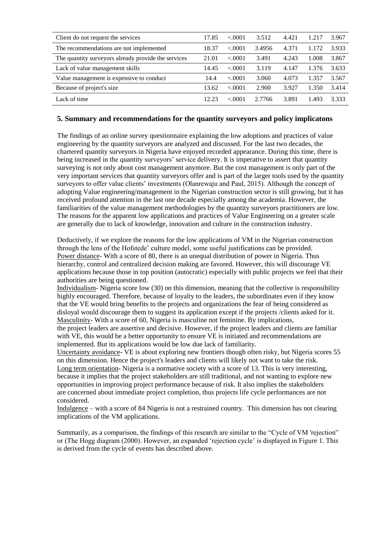| Client do not request the services                  | 17.85 | < 0001  | 3.512  | 4.421 | 1.217 | 3.967 |
|-----------------------------------------------------|-------|---------|--------|-------|-------|-------|
| The recommendations are not implemented             | 18.37 | < 0.001 | 3.4956 | 4.371 | 1.172 | 3.933 |
| The quantity surveyors already provide the services | 21.01 | < 0.001 | 3.491  | 4.243 | 1.008 | 3.867 |
| Lack of value management skills                     | 14.45 | < 0.001 | 3.119  | 4.147 | 1.376 | 3.633 |
| Value management is expensive to conduct            | 14.4  | < 0.001 | 3.060  | 4.073 | 1.357 | 3.567 |
| Because of project's size                           | 13.62 | < 0.001 | 2.900  | 3.927 | 1.350 | 3.414 |
| Lack of time                                        | 12.23 | < 0001  | 2.7766 | 3.891 | 1.493 | 3.333 |

## **5. Summary and recommendations for the quantity surveyors and policy implicatons**

The findings of an online survey questionnaire explaining the low adoptions and practices of value engineering by the quantity surveyors are analyzed and discussed. For the last two decades, the chartered quantity surveyors in Nigeria have enjoyed recorded appearance. During this time, there is being increased in the quantity surveyors' service delivery. It is imperative to assert that quantity surveying is not only about cost management anymore. But the cost management is only part of the very important services that quantity surveyors offer and is part of the larger tools used by the quantity surveyors to offer value clients' investments (Olanrewaju and Paul, 2015). Although the concept of adopting Value engineering/management in the Nigerian construction sector is still growing, but it has received profound attention in the last one decade especially among the academia. However, the familiarities of the value management methodologies by the quantity surveyors practitioners are low. The reasons for the apparent low applications and practices of Value Engineering on a greater scale are generally due to lack of knowledge, innovation and culture in the construction industry.

Deductively, if we explore the reasons for the low applications of VM in the Nigerian construction through the lens of the Hofstede' culture model, some useful justifications can be provided. Power distance- With a score of 80, there is an unequal distribution of power in Nigeria. Thus hierarchy, control and centralized decision making are favored. However, this will discourage VE applications because those in top position (autocratic) especially with public projects we feel that their authorities are being questioned.

Individualism- Nigeria score low (30) on this dimension, meaning that the collective is responsibility highly encouraged. Therefore, because of loyalty to the leaders, the subordinates even if they know that the VE would bring benefits to the projects and organizations the fear of being considered as disloyal would discourage them to suggest its application except if the projects /clients asked for it. Masculinity- With a score of 60, Nigeria is masculine not feminine. By implications,

the project leaders are assertive and decisive. However, if the project leaders and clients are familiar with VE, this would be a better opportunity to ensure VE is initiated and recommendations are implemented. But its applications would be low due lack of familiarity.

Uncertainty avoidance- VE is about exploring new frontiers though often risky, but Nigeria scores 55 on this dimension. Hence the project's leaders and clients will likely not want to take the risk. Long term orientation- Nigeria is a normative society with a score of 13. This is very interesting, because it implies that the project stakeholders are still traditional, and not wanting to explore new opportunities in improving project performance because of risk. It also implies the stakeholders are concerned about immediate project completion, thus projects life cycle performances are not considered.

Indulgence – with a score of 84 Nigeria is not a restrained country. This dimension has not clearing implications of the VM applications.

Summarily, as a comparison, the findings of this research are similar to the "Cycle of VM 'rejection'' or (The Hogg diagram (2000). However, an expanded 'rejection cycle' is displayed in Figure 1. This is derived from the cycle of events has described above.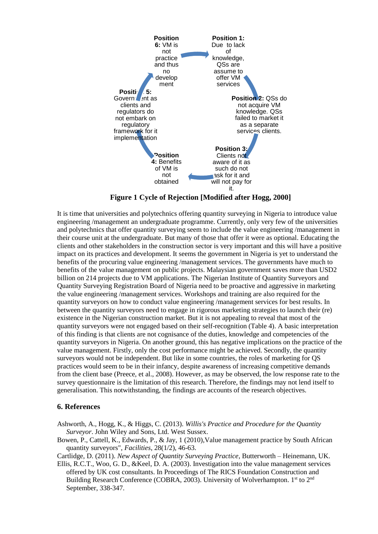

**Figure 1 Cycle of Rejection [Modified after Hogg, 2000]**

It is time that universities and polytechnics offering quantity surveying in Nigeria to introduce value engineering /management an undergraduate programme. Currently, only very few of the universities and polytechnics that offer quantity surveying seem to include the value engineering /management in their course unit at the undergraduate. But many of those that offer it were as optional. Educating the clients and other stakeholders in the construction sector is very important and this will have a positive impact on its practices and development. It seems the government in Nigeria is yet to understand the benefits of the procuring value engineering /management services. The governments have much to benefits of the value management on public projects. Malaysian government saves more than USD2 billion on 214 projects due to VM applications. The Nigerian Institute of Quantity Surveyors and Quantity Surveying Registration Board of Nigeria need to be proactive and aggressive in marketing the value engineering /management services. Workshops and training are also required for the quantity surveyors on how to conduct value engineering /management services for best results. In between the quantity surveyors need to engage in rigorous marketing strategies to launch their (re) existence in the Nigerian construction market. But it is not appealing to reveal that most of the quantity surveyors were not engaged based on their self-recognition (Table 4). A basic interpretation of this finding is that clients are not cognisance of the duties, knowledge and competencies of the quantity surveyors in Nigeria. On another ground, this has negative implications on the practice of the value management. Firstly, only the cost performance might be achieved. Secondly, the quantity surveyors would not be independent. But like in some countries, the roles of marketing for QS practices would seem to be in their infancy, despite awareness of increasing competitive demands from the client base (Preece, et al., 2008). However, as may be observed, the low response rate to the survey questionnaire is the limitation of this research. Therefore, the findings may not lend itself to generalisation. This notwithstanding, the findings are accounts of the research objectives.

#### **6. References**

- Ashworth, A., Hogg, K., & Higgs, C. (2013). *Willis's Practice and Procedure for the Quantity Surveyor*. John Wiley and Sons, Ltd. West Sussex.
- Bowen, P., Cattell, K., Edwards, P., & Jay, 1 (2010),Value management practice by South African quantity surveyors", *Facilities*, 28(1/2), 46-63.

Cartlidge, D. (2011). *New Aspect of Quantity Surveying Practice*, Butterworth – Heinemann, UK.

Ellis, R.C.T., Woo, G. D., &Keel, D. A. (2003). Investigation into the value management services offered by UK cost consultants. In Proceedings of The RICS Foundation Construction and Building Research Conference (COBRA, 2003). University of Wolverhampton. 1<sup>st</sup> to 2<sup>nd</sup> September, 338-347.